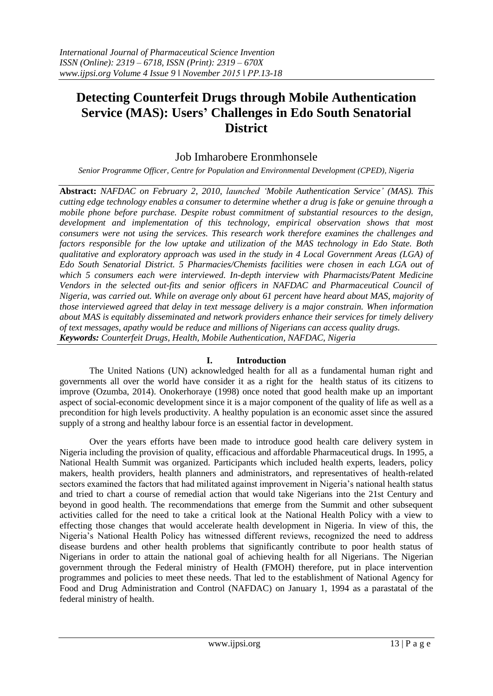# **Detecting Counterfeit Drugs through Mobile Authentication Service (MAS): Users' Challenges in Edo South Senatorial District**

## Job Imharobere Eronmhonsele

*Senior Programme Officer, Centre for Population and Environmental Development (CPED), Nigeria*

**Abstract:** *NAFDAC on February 2, 2010, launched "Mobile Authentication Service" (MAS). This cutting edge technology enables a consumer to determine whether a drug is fake or genuine through a mobile phone before purchase. Despite robust commitment of substantial resources to the design, development and implementation of this technology, empirical observation shows that most consumers were not using the services. This research work therefore examines the challenges and factors responsible for the low uptake and utilization of the MAS technology in Edo State. Both qualitative and exploratory approach was used in the study in 4 Local Government Areas (LGA) of Edo South Senatorial District. 5 Pharmacies/Chemists facilities were chosen in each LGA out of which 5 consumers each were interviewed. In-depth interview with Pharmacists/Patent Medicine Vendors in the selected out-fits and senior officers in NAFDAC and Pharmaceutical Council of Nigeria, was carried out. While on average only about 61 percent have heard about MAS, majority of those interviewed agreed that delay in text message delivery is a major constrain. When information about MAS is equitably disseminated and network providers enhance their services for timely delivery of text messages, apathy would be reduce and millions of Nigerians can access quality drugs. Keywords: Counterfeit Drugs, Health, Mobile Authentication, NAFDAC, Nigeria*

## **I. Introduction**

The United Nations (UN) acknowledged health for all as a fundamental human right and governments all over the world have consider it as a right for the health status of its citizens to improve (Ozumba, 2014). Onokerhoraye (1998) once noted that good health make up an important aspect of social-economic development since it is a major component of the quality of life as well as a precondition for high levels productivity. A healthy population is an economic asset since the assured supply of a strong and healthy labour force is an essential factor in development.

Over the years efforts have been made to introduce good health care delivery system in Nigeria including the provision of quality, efficacious and affordable Pharmaceutical drugs. In 1995, a National Health Summit was organized. Participants which included health experts, leaders, policy makers, health providers, health planners and administrators, and representatives of health-related sectors examined the factors that had militated against improvement in Nigeria's national health status and tried to chart a course of remedial action that would take Nigerians into the 21st Century and beyond in good health. The recommendations that emerge from the Summit and other subsequent activities called for the need to take a critical look at the National Health Policy with a view to effecting those changes that would accelerate health development in Nigeria. In view of this, the Nigeria's National Health Policy has witnessed different reviews, recognized the need to address disease burdens and other health problems that significantly contribute to poor health status of Nigerians in order to attain the national goal of achieving health for all Nigerians. The Nigerian government through the Federal ministry of Health (FMOH) therefore, put in place intervention programmes and policies to meet these needs. That led to the establishment of National Agency for Food and Drug Administration and Control (NAFDAC) on January 1, 1994 as a parastatal of the federal ministry of health.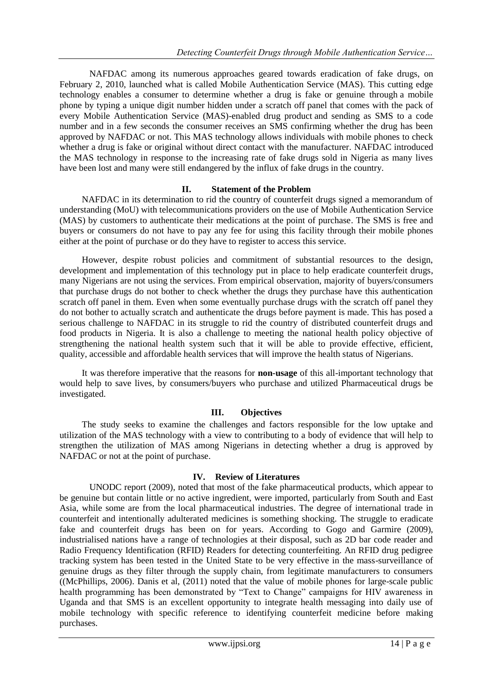NAFDAC among its numerous approaches geared towards eradication of fake drugs, on February 2, 2010, launched what is called Mobile Authentication Service (MAS). This cutting edge technology enables a consumer to determine whether a drug is fake or genuine through a mobile phone by typing a unique digit number hidden under a scratch off panel that comes with the pack of every Mobile Authentication Service (MAS)-enabled drug product and sending as SMS to a code number and in a few seconds the consumer receives an SMS confirming whether the drug has been approved by NAFDAC or not. This MAS technology allows individuals with mobile phones to check whether a drug is fake or original without direct contact with the manufacturer. NAFDAC introduced the MAS technology in response to the increasing rate of fake drugs sold in Nigeria as many lives have been lost and many were still endangered by the influx of fake drugs in the country.

## **II. Statement of the Problem**

NAFDAC in its determination to rid the country of counterfeit drugs signed a memorandum of understanding (MoU) with telecommunications providers on the use of Mobile Authentication Service (MAS) by customers to authenticate their medications at the point of purchase. The SMS is free and buyers or consumers do not have to pay any fee for using this facility through their mobile phones either at the point of purchase or do they have to register to access this service.

However, despite robust policies and commitment of substantial resources to the design, development and implementation of this technology put in place to help eradicate counterfeit drugs, many Nigerians are not using the services. From empirical observation, majority of buyers/consumers that purchase drugs do not bother to check whether the drugs they purchase have this authentication scratch off panel in them. Even when some eventually purchase drugs with the scratch off panel they do not bother to actually scratch and authenticate the drugs before payment is made. This has posed a serious challenge to NAFDAC in its struggle to rid the country of distributed counterfeit drugs and food products in Nigeria. It is also a challenge to meeting the national health policy objective of strengthening the national health system such that it will be able to provide effective, efficient, quality, accessible and affordable health services that will improve the health status of Nigerians.

It was therefore imperative that the reasons for **non-usage** of this all-important technology that would help to save lives, by consumers/buyers who purchase and utilized Pharmaceutical drugs be investigated.

## **III. Objectives**

The study seeks to examine the challenges and factors responsible for the low uptake and utilization of the MAS technology with a view to contributing to a body of evidence that will help to strengthen the utilization of MAS among Nigerians in detecting whether a drug is approved by NAFDAC or not at the point of purchase.

## **IV. Review of Literatures**

UNODC report (2009), noted that most of the fake pharmaceutical products, which appear to be genuine but contain little or no active ingredient, were imported, particularly from South and East Asia, while some are from the local pharmaceutical industries. The degree of international trade in counterfeit and intentionally adulterated medicines is something shocking. The struggle to eradicate fake and counterfeit drugs has been on for years. According to Gogo and Garmire (2009), industrialised nations have a range of technologies at their disposal, such as 2D bar code reader and Radio Frequency Identification (RFID) Readers for detecting counterfeiting. An RFID drug pedigree tracking system has been tested in the United State to be very effective in the mass-surveillance of genuine drugs as they filter through the supply chain, from legitimate manufacturers to consumers ((McPhillips, 2006). Danis et al, (2011) noted that the value of mobile phones for large-scale public health programming has been demonstrated by "Text to Change" campaigns for HIV awareness in Uganda and that SMS is an excellent opportunity to integrate health messaging into daily use of mobile technology with specific reference to identifying counterfeit medicine before making purchases.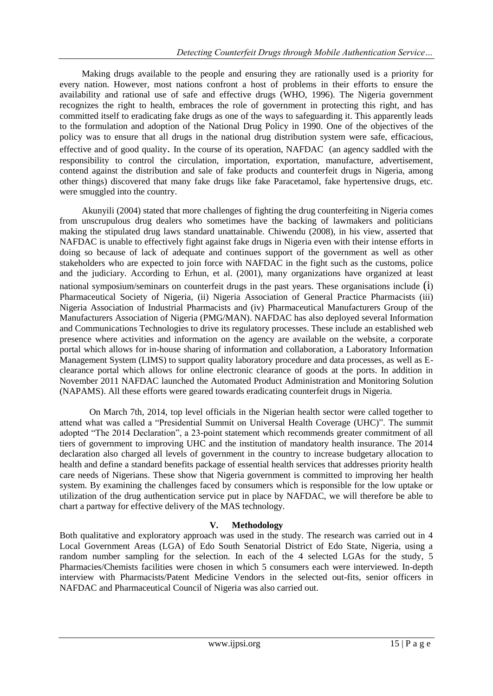Making drugs available to the people and ensuring they are rationally used is a priority for every nation. However, most nations confront a host of problems in their efforts to ensure the availability and rational use of safe and effective drugs (WHO, 1996). The Nigeria government recognizes the right to health, embraces the role of government in protecting this right, and has committed itself to eradicating fake drugs as one of the ways to safeguarding it. This apparently leads to the formulation and adoption of the National Drug Policy in 1990. One of the objectives of the policy was to ensure that all drugs in the national drug distribution system were safe, efficacious, effective and of good quality. In the course of its operation, NAFDAC (an agency saddled with the responsibility to control the circulation, importation, exportation, manufacture, advertisement, contend against the distribution and sale of fake products and counterfeit drugs in Nigeria, among other things) discovered that many fake drugs like fake Paracetamol, fake hypertensive drugs, etc. were smuggled into the country.

Akunyili (2004) stated that more challenges of fighting the drug counterfeiting in Nigeria comes from unscrupulous drug dealers who sometimes have the backing of lawmakers and politicians making the stipulated drug laws standard unattainable. Chiwendu (2008), in his view, asserted that NAFDAC is unable to effectively fight against fake drugs in Nigeria even with their intense efforts in doing so because of lack of adequate and continues support of the government as well as other stakeholders who are expected to join force with NAFDAC in the fight such as the customs, police and the judiciary. According to Erhun, et al. (2001), many organizations have organized at least national symposium/seminars on counterfeit drugs in the past years. These organisations include (i) Pharmaceutical Society of Nigeria, (ii) Nigeria Association of General Practice Pharmacists (iii) Nigeria Association of Industrial Pharmacists and (iv) Pharmaceutical Manufacturers Group of the Manufacturers Association of Nigeria (PMG/MAN). NAFDAC has also deployed several Information and Communications Technologies to drive its regulatory processes. These include an established web presence where activities and information on the agency are available on the website, a corporate portal which allows for in-house sharing of information and collaboration, a Laboratory Information Management System (LIMS) to support quality laboratory procedure and data processes, as well as Eclearance portal which allows for online electronic clearance of goods at the ports. In addition in November 2011 NAFDAC launched the Automated Product Administration and Monitoring Solution (NAPAMS). All these efforts were geared towards eradicating counterfeit drugs in Nigeria.

On March 7th, 2014, top level officials in the Nigerian health sector were called together to attend what was called a "Presidential Summit on Universal Health Coverage (UHC)". The summit adopted "The 2014 Declaration", a 23-point statement which recommends greater commitment of all tiers of government to improving UHC and the institution of mandatory health insurance. The 2014 declaration also charged all levels of government in the country to increase budgetary allocation to health and define a standard benefits package of essential health services that addresses priority health care needs of Nigerians. These show that Nigeria government is committed to improving her health system. By examining the challenges faced by consumers which is responsible for the low uptake or utilization of the drug authentication service put in place by NAFDAC, we will therefore be able to chart a partway for effective delivery of the MAS technology.

## **V. Methodology**

Both qualitative and exploratory approach was used in the study. The research was carried out in 4 Local Government Areas (LGA) of Edo South Senatorial District of Edo State, Nigeria, using a random number sampling for the selection. In each of the 4 selected LGAs for the study, 5 Pharmacies/Chemists facilities were chosen in which 5 consumers each were interviewed. In-depth interview with Pharmacists/Patent Medicine Vendors in the selected out-fits, senior officers in NAFDAC and Pharmaceutical Council of Nigeria was also carried out.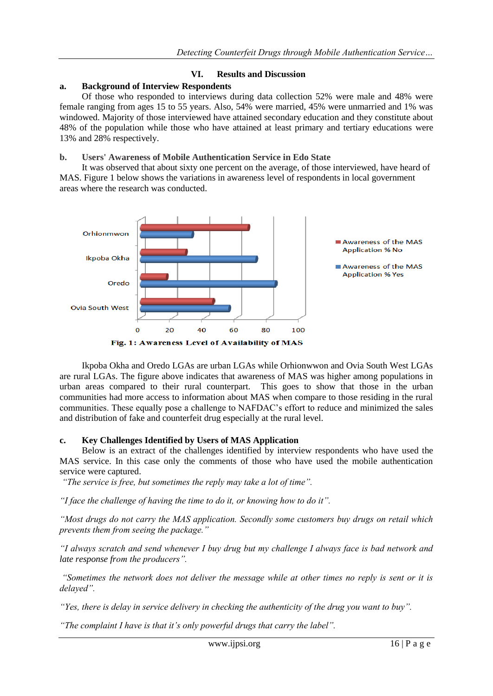## **VI. Results and Discussion**

#### **a. Background of Interview Respondents**

Of those who responded to interviews during data collection 52% were male and 48% were female ranging from ages 15 to 55 years. Also, 54% were married, 45% were unmarried and 1% was windowed. Majority of those interviewed have attained secondary education and they constitute about 48% of the population while those who have attained at least primary and tertiary educations were 13% and 28% respectively.

#### **b. Users' Awareness of Mobile Authentication Service in Edo State**

It was observed that about sixty one percent on the average, of those interviewed, have heard of MAS. Figure 1 below shows the variations in awareness level of respondents in local government areas where the research was conducted.



Ikpoba Okha and Oredo LGAs are urban LGAs while Orhionwwon and Ovia South West LGAs are rural LGAs. The figure above indicates that awareness of MAS was higher among populations in urban areas compared to their rural counterpart. This goes to show that those in the urban communities had more access to information about MAS when compare to those residing in the rural communities. These equally pose a challenge to NAFDAC's effort to reduce and minimized the sales and distribution of fake and counterfeit drug especially at the rural level.

## **c. Key Challenges Identified by Users of MAS Application**

Below is an extract of the challenges identified by interview respondents who have used the MAS service. In this case only the comments of those who have used the mobile authentication service were captured.

*"The service is free, but sometimes the reply may take a lot of time".* 

*"I face the challenge of having the time to do it, or knowing how to do it".*

*"Most drugs do not carry the MAS application. Secondly some customers buy drugs on retail which prevents them from seeing the package."*

*"I always scratch and send whenever I buy drug but my challenge I always face is bad network and late response from the producers".*

*"Sometimes the network does not deliver the message while at other times no reply is sent or it is delayed".*

*"Yes, there is delay in service delivery in checking the authenticity of the drug you want to buy".*

*"The complaint I have is that it"s only powerful drugs that carry the label".*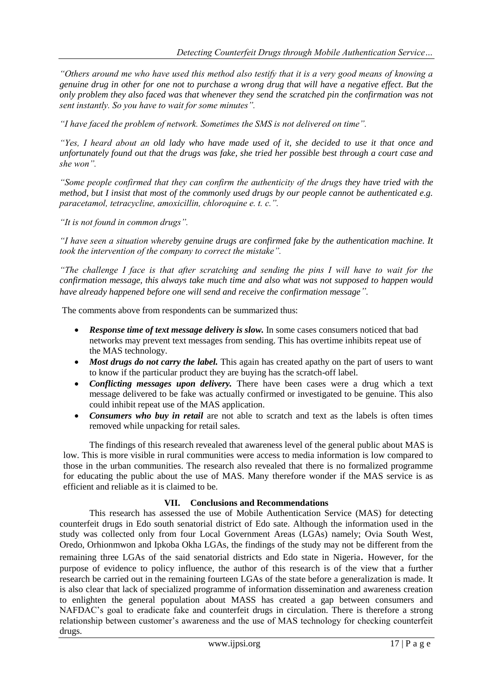*"Others around me who have used this method also testify that it is a very good means of knowing a genuine drug in other for one not to purchase a wrong drug that will have a negative effect. But the only problem they also faced was that whenever they send the scratched pin the confirmation was not sent instantly. So you have to wait for some minutes".*

*"I have faced the problem of network. Sometimes the SMS is not delivered on time".*

*"Yes, I heard about an old lady who have made used of it, she decided to use it that once and unfortunately found out that the drugs was fake, she tried her possible best through a court case and she won".*

*"Some people confirmed that they can confirm the authenticity of the drugs they have tried with the method, but I insist that most of the commonly used drugs by our people cannot be authenticated e.g. paracetamol, tetracycline, amoxicillin, chloroquine e. t. c.".*

*"It is not found in common drugs".*

*"I have seen a situation whereby genuine drugs are confirmed fake by the authentication machine. It took the intervention of the company to correct the mistake".*

*"The challenge I face is that after scratching and sending the pins I will have to wait for the confirmation message, this always take much time and also what was not supposed to happen would have already happened before one will send and receive the confirmation message".*

The comments above from respondents can be summarized thus:

- *Response time of text message delivery is slow.* In some cases consumers noticed that bad networks may prevent text messages from sending. This has overtime inhibits repeat use of the MAS technology.
- Most drugs do not carry the label. This again has created apathy on the part of users to want to know if the particular product they are buying has the scratch-off label.
- *Conflicting messages upon delivery.* There have been cases were a drug which a text message delivered to be fake was actually confirmed or investigated to be genuine. This also could inhibit repeat use of the MAS application.
- *Consumers who buy in retail* are not able to scratch and text as the labels is often times removed while unpacking for retail sales.

The findings of this research revealed that awareness level of the general public about MAS is low. This is more visible in rural communities were access to media information is low compared to those in the urban communities. The research also revealed that there is no formalized programme for educating the public about the use of MAS. Many therefore wonder if the MAS service is as efficient and reliable as it is claimed to be.

## **VII. Conclusions and Recommendations**

This research has assessed the use of Mobile Authentication Service (MAS) for detecting counterfeit drugs in Edo south senatorial district of Edo sate. Although the information used in the study was collected only from four Local Government Areas (LGAs) namely; Ovia South West, Oredo, Orhionmwon and Ipkoba Okha LGAs, the findings of the study may not be different from the remaining three LGAs of the said senatorial districts and Edo state in Nigeria. However, for the purpose of evidence to policy influence, the author of this research is of the view that a further research be carried out in the remaining fourteen LGAs of the state before a generalization is made. It is also clear that lack of specialized programme of information dissemination and awareness creation to enlighten the general population about MASS has created a gap between consumers and NAFDAC's goal to eradicate fake and counterfeit drugs in circulation. There is therefore a strong relationship between customer's awareness and the use of MAS technology for checking counterfeit drugs.